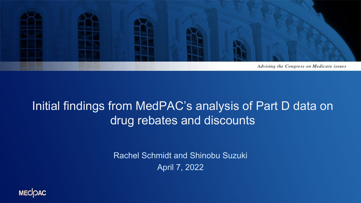

### Initial findings from MedPAC's analysis of Part D data on drug rebates and discounts

Rachel Schmidt and Shinobu Suzuki April 7, 2022

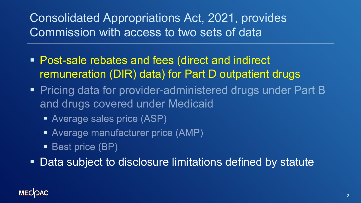Consolidated Appropriations Act, 2021, provides Commission with access to two sets of data

- **Post-sale rebates and fees (direct and indirect** remuneration (DIR) data) for Part D outpatient drugs
- Pricing data for provider-administered drugs under Part B and drugs covered under Medicaid
	- Average sales price (ASP)
	- Average manufacturer price (AMP)
	- **Best price (BP)**

Data subject to disclosure limitations defined by statute

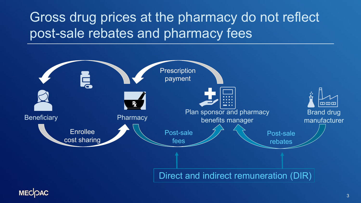Gross drug prices at the pharmacy do not reflect post-sale rebates and pharmacy fees



**MECOAC**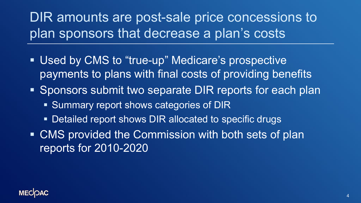## DIR amounts are post-sale price concessions to plan sponsors that decrease a plan's costs

- Used by CMS to "true-up" Medicare's prospective payments to plans with final costs of providing benefits
- Sponsors submit two separate DIR reports for each plan
	- **Summary report shows categories of DIR**
	- **Detailed report shows DIR allocated to specific drugs**
- CMS provided the Commission with both sets of plan reports for 2010-2020

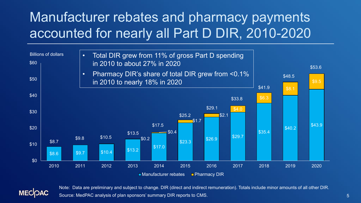## Manufacturer rebates and pharmacy payments accounted for nearly all Part D DIR, 2010-2020



**MECOAC** 

Note: Data are preliminary and subject to change. DIR (direct and indirect remuneration). Totals include minor amounts of all other DIR. Source: MedPAC analysis of plan sponsors' summary DIR reports to CMS.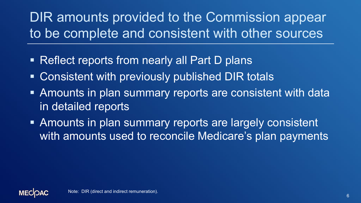DIR amounts provided to the Commission appear to be complete and consistent with other sources

- Reflect reports from nearly all Part D plans
- Consistent with previously published DIR totals
- Amounts in plan summary reports are consistent with data in detailed reports
- **Amounts in plan summary reports are largely consistent** with amounts used to reconcile Medicare's plan payments

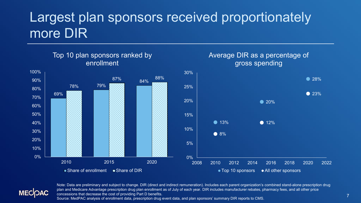## Largest plan sponsors received proportionately more DIR





Note: Data are preliminary and subject to change. DIR (direct and indirect remuneration). Includes each parent organization's combined stand-alone prescription drug plan and Medicare Advantage prescription drug plan enrollment as of July of each year. DIR includes manufacturer rebates, pharmacy fees, and all other price concessions that decrease the cost of providing Part D benefits. Source: MedPAC analysis of enrollment data, prescription drug event data, and plan sponsors' summary DIR reports to CMS.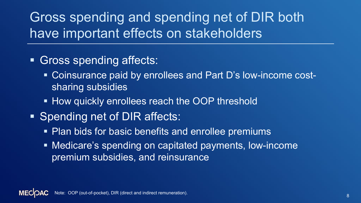Gross spending and spending net of DIR both have important effects on stakeholders

- **Gross spending affects:** 
	- **Coinsurance paid by enrollees and Part D's low-income cost**sharing subsidies
	- **How quickly enrollees reach the OOP threshold**
- Spending net of DIR affects:
	- **Plan bids for basic benefits and enrollee premiums**
	- Medicare's spending on capitated payments, low-income premium subsidies, and reinsurance

Note: OOP (out-of-pocket), DIR (direct and indirect remuneration). We are also assumed to the control of the control of the control of the control of the control of the control of the control of the control of the control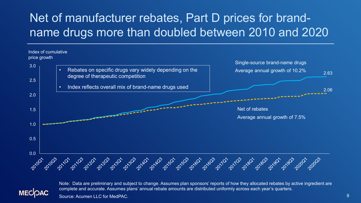## Net of manufacturer rebates, Part D prices for brandname drugs more than doubled between 2010 and 2020





Note: Data are preliminary and subject to change. Assumes plan sponsors' reports of how they allocated rebates by active ingredient are complete and accurate. Assumes plans' annual rebate amounts are distributed uniformly across each year's quarters.

Source: Acumen LLC for MedPAC.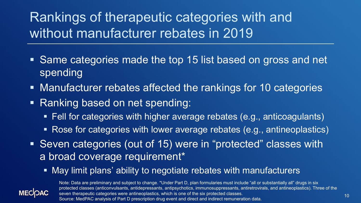# Rankings of therapeutic categories with and without manufacturer rebates in 2019

- Same categories made the top 15 list based on gross and net spending
- **Manufacturer rebates affected the rankings for 10 categories**
- Ranking based on net spending:
	- Fell for categories with higher average rebates (e.g., anticoagulants)
	- Rose for categories with lower average rebates (e.g., antineoplastics)
- Seven categories (out of 15) were in "protected" classes with a broad coverage requirement\*
	- May limit plans' ability to negotiate rebates with manufacturers



Note: Data are preliminary and subject to change. \*Under Part D, plan formularies must include "all or substantially all" drugs in six protected classes (anticonvulsants, antidepressants, antipsychotics, immunosuppressants, antiretrovirals, and antineoplastics). Three of the seven therapeutic categories were antineoplastics, which is one of the six protected classes. Source: MedPAC analysis of Part D prescription drug event and direct and indirect remuneration data.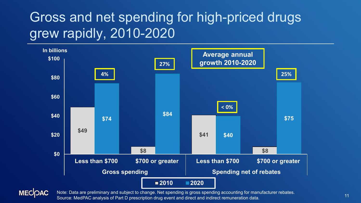## Gross and net spending for high-priced drugs grew rapidly, 2010-2020





Note: Data are preliminary and subject to change. Net spending is gross spending accounting for manufacturer rebates. Source: MedPAC analysis of Part D prescription drug event and direct and indirect remuneration data.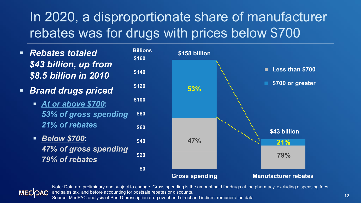# In 2020, a disproportionate share of manufacturer rebates was for drugs with prices below \$700

- *Rebates totaled \$43 billion, up from \$8.5 billion in 2010*
- *Brand drugs priced*
	- *At or above \$700***:** *53% of gross spending 21% of rebates*
	- *Below \$700***:**  *47% of gross spending 79% of rebates*



**MECOAC** 

Note: Data are preliminary and subject to change. Gross spending is the amount paid for drugs at the pharmacy, excluding dispensing fees and sales tax, and before accounting for postsale rebates or discounts.

Source: MedPAC analysis of Part D prescription drug event and direct and indirect remuneration data.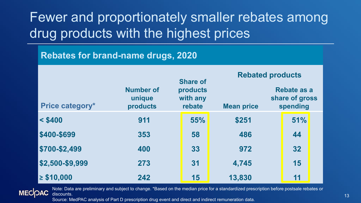Fewer and proportionately smaller rebates among drug products with the highest prices

#### **Rebates for brand-name drugs, 2020**

|                        |                                        |  | <b>Share of</b>                |                   | <b>Rebated products</b>                   |     |  |
|------------------------|----------------------------------------|--|--------------------------------|-------------------|-------------------------------------------|-----|--|
| <b>Price category*</b> | <b>Number of</b><br>unique<br>products |  | products<br>with any<br>rebate | <b>Mean price</b> | Rebate as a<br>share of gross<br>spending |     |  |
| $<$ \$400              | 911                                    |  | 55%                            | \$251             |                                           | 51% |  |
| \$400-\$699            | 353                                    |  | 58                             | 486               |                                           | 44  |  |
| \$700-\$2,499          | 400                                    |  | 33                             | 972               |                                           | 32  |  |
| \$2,500-\$9,999        | 273                                    |  | 31                             | 4,745             |                                           | 15  |  |
| $\geq$ \$10,000        | 242                                    |  | 15                             | 13,830            |                                           | 11  |  |

Note: Data are preliminary and subject to change. \*Based on the median price for a standardized prescription before postsale rebates or **MECOAC** discounts.

Source: MedPAC analysis of Part D prescription drug event and direct and indirect remuneration data.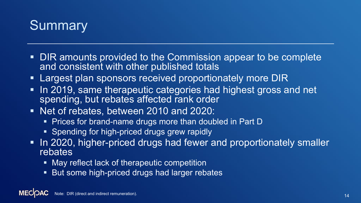

- DIR amounts provided to the Commission appear to be complete and consistent with other published totals
- **Largest plan sponsors received proportionately more DIR**
- In 2019, same therapeutic categories had highest gross and net spending, but rebates affected rank order
- Net of rebates, between 2010 and 2020:
	- **Prices for brand-name drugs more than doubled in Part D**
	- Spending for high-priced drugs grew rapidly
- In 2020, higher-priced drugs had fewer and proportionately smaller **rebates** 
	- **May reflect lack of therapeutic competition**
	- **But some high-priced drugs had larger rebates**